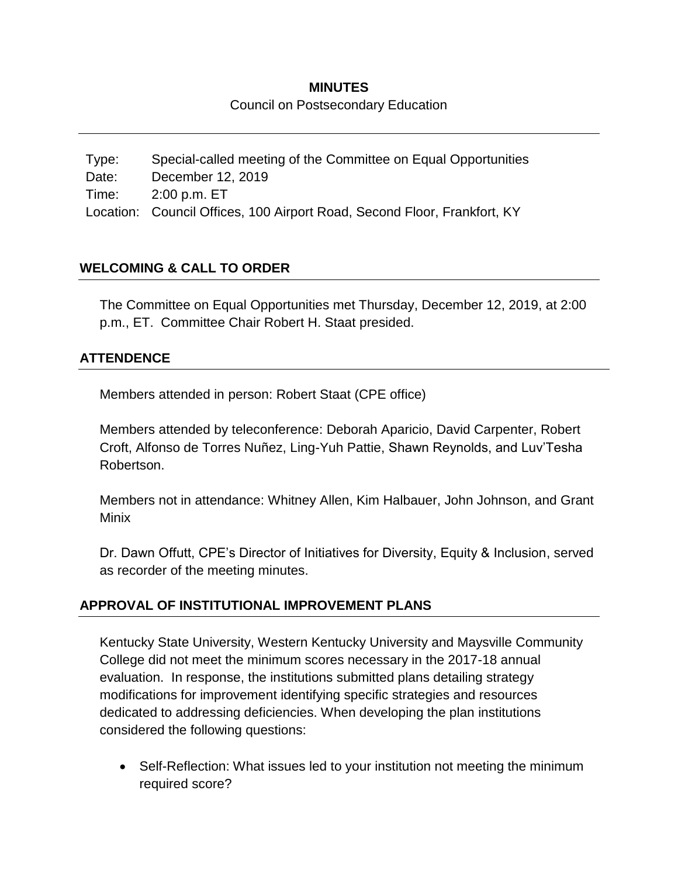## **MINUTES**

#### Council on Postsecondary Education

Type: Special-called meeting of the Committee on Equal Opportunities Date: December 12, 2019 Time: 2:00 p.m. ET Location: Council Offices, 100 Airport Road, Second Floor, Frankfort, KY

## **WELCOMING & CALL TO ORDER**

The Committee on Equal Opportunities met Thursday, December 12, 2019, at 2:00 p.m., ET. Committee Chair Robert H. Staat presided.

### **ATTENDENCE**

Members attended in person: Robert Staat (CPE office)

Members attended by teleconference: Deborah Aparicio, David Carpenter, Robert Croft, Alfonso de Torres Nuñez, Ling-Yuh Pattie, Shawn Reynolds, and Luv'Tesha Robertson.

Members not in attendance: Whitney Allen, Kim Halbauer, John Johnson, and Grant Minix

Dr. Dawn Offutt, CPE's Director of Initiatives for Diversity, Equity & Inclusion, served as recorder of the meeting minutes.

### **APPROVAL OF INSTITUTIONAL IMPROVEMENT PLANS**

Kentucky State University, Western Kentucky University and Maysville Community College did not meet the minimum scores necessary in the 2017-18 annual evaluation. In response, the institutions submitted plans detailing strategy modifications for improvement identifying specific strategies and resources dedicated to addressing deficiencies. When developing the plan institutions considered the following questions:

• Self-Reflection: What issues led to your institution not meeting the minimum required score?